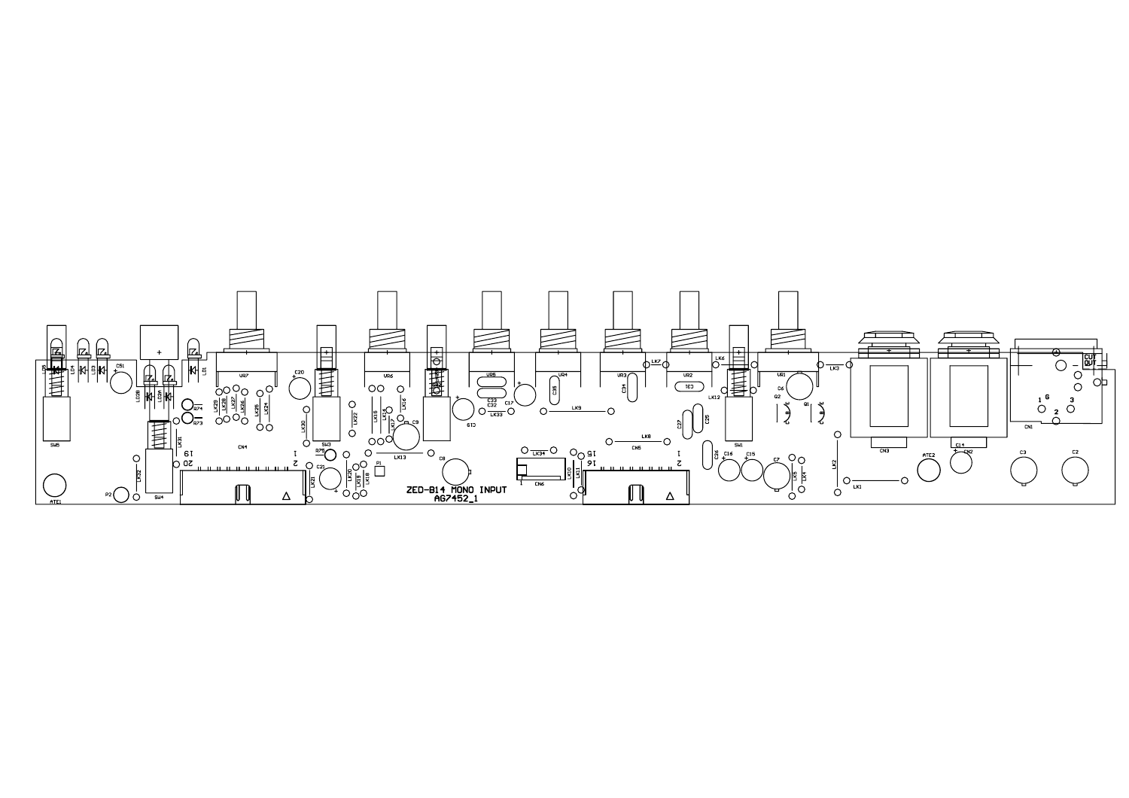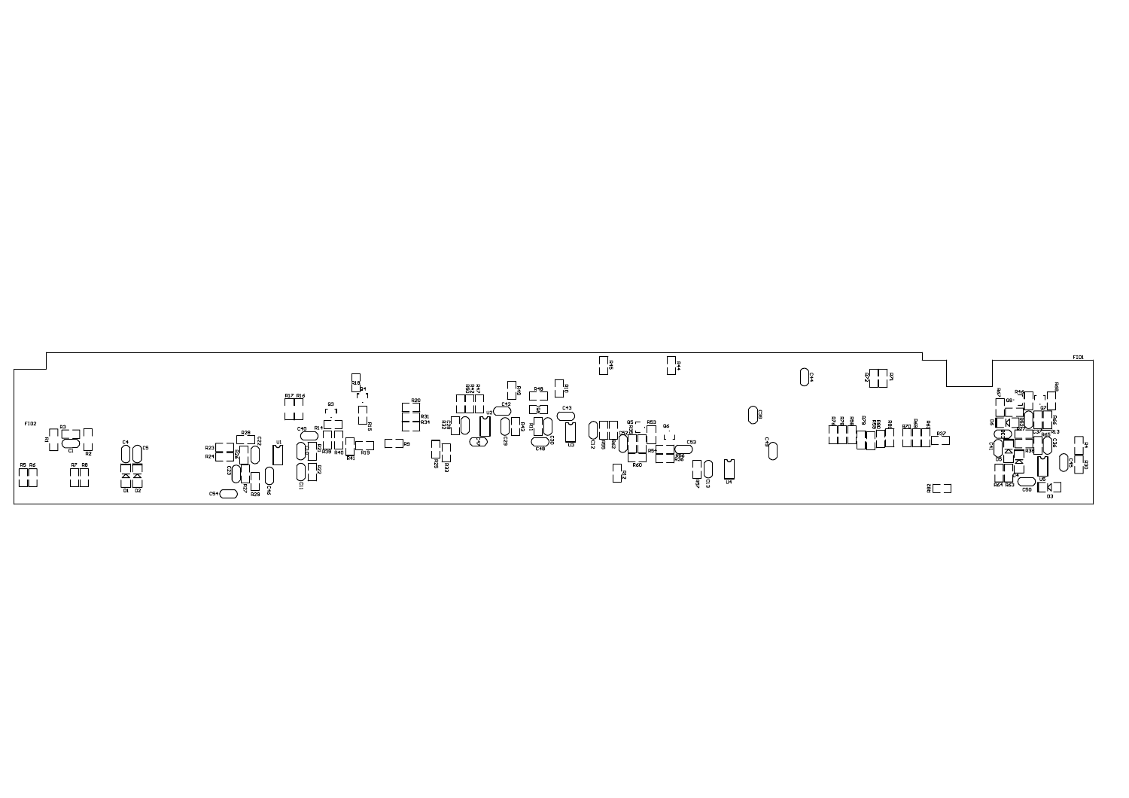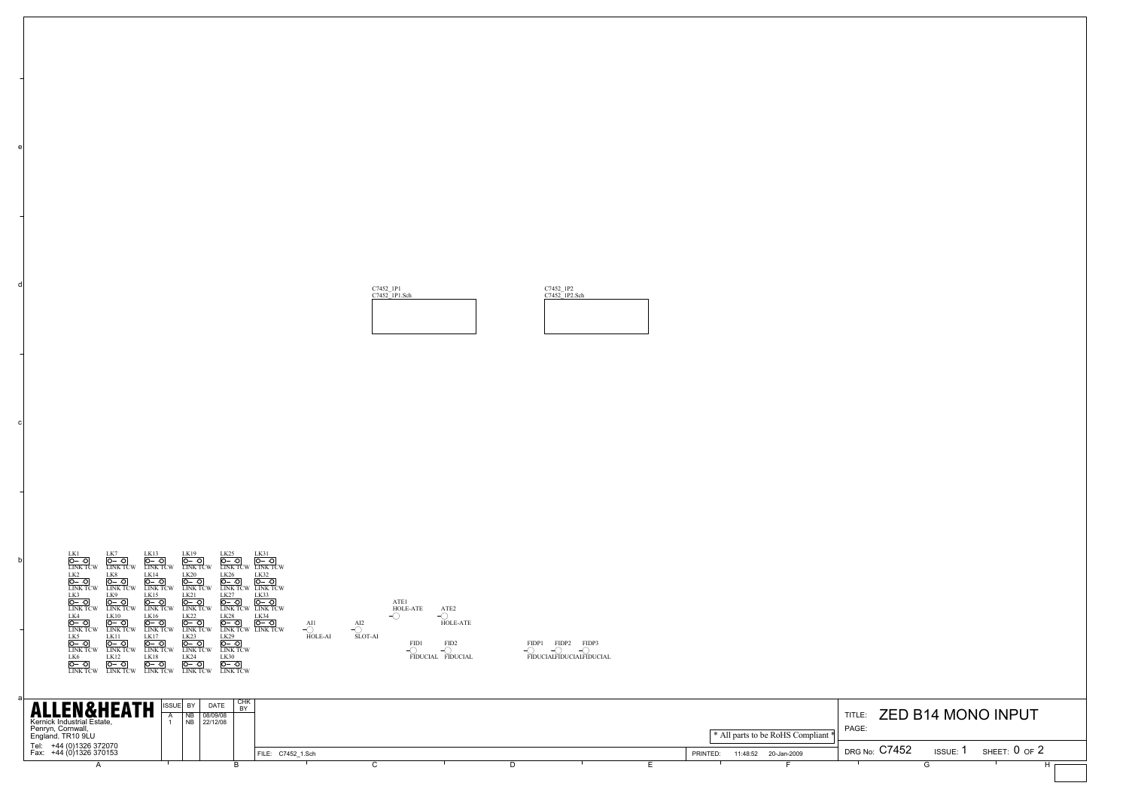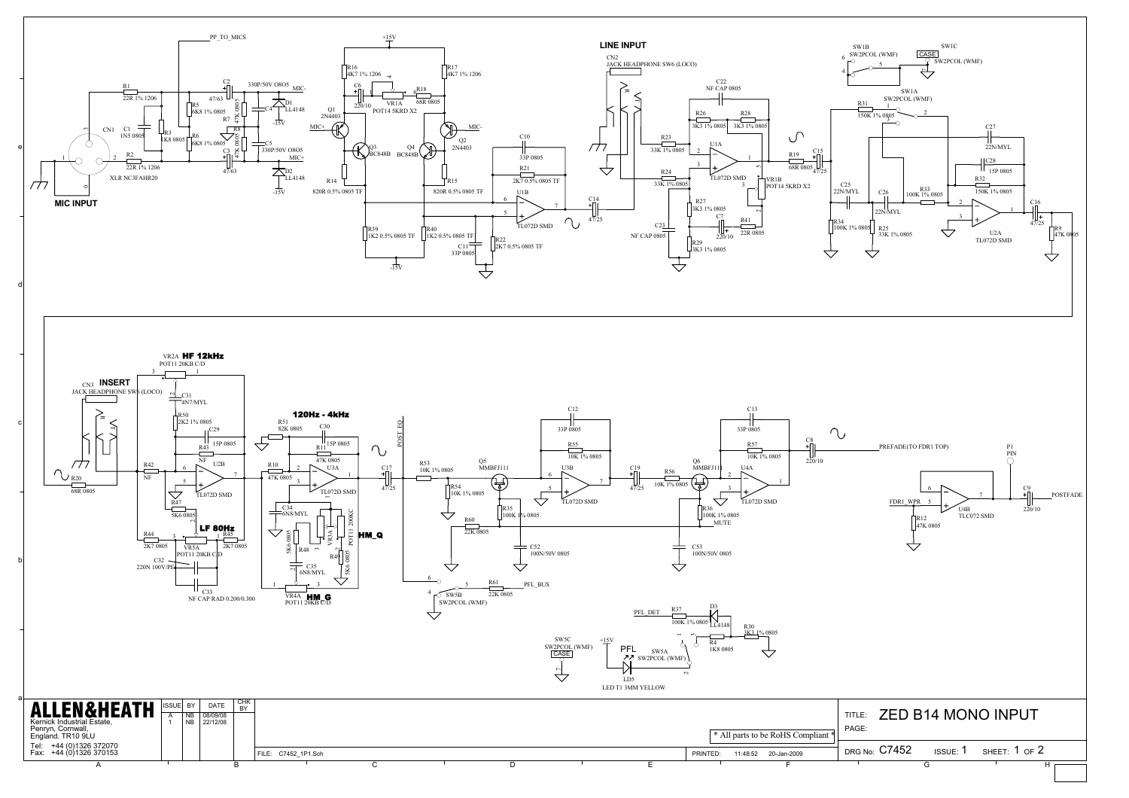